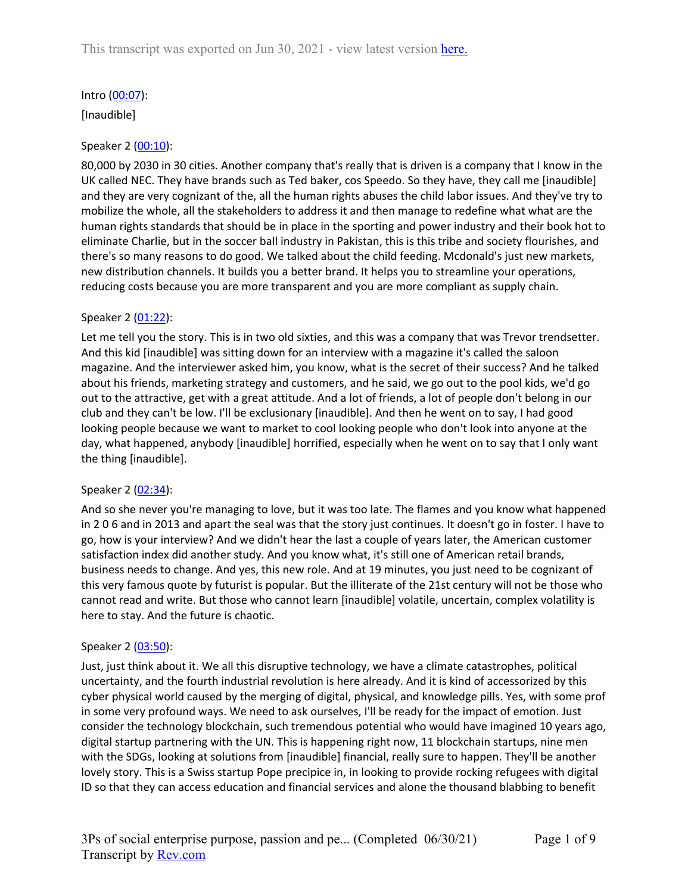# Intro ([00:07\)](https://www.rev.com/transcript-editor/Edit?token=VZz-JKWaLoDzz8rotQgmadZ5upuA1kSHsNE-BQH_51MKLa6yAmL9zJTHwJZQNOZbugOEZx8RyoyPtEqI02h3JN5Q7TQ&loadFrom=DocumentDeeplink&ts=7.83):

[Inaudible]

### Speaker 2 ([00:10](https://www.rev.com/transcript-editor/Edit?token=a0RM2K46FV2EKQFQuKM7h2gViiItQHhfrTJ1OAxi30Qp8oYqrKgxfoiPtU35uPpaM1BiUK6GKuFbfBvWNA_s2wBYDcU&loadFrom=DocumentDeeplink&ts=10.49)):

80,000 by 2030 in 30 cities. Another company that's really that is driven is a company that I know in the UK called NEC. They have brands such as Ted baker, cos Speedo. So they have, they call me [inaudible] and they are very cognizant of the, all the human rights abuses the child labor issues. And they've try to mobilize the whole, all the stakeholders to address it and then manage to redefine what what are the human rights standards that should be in place in the sporting and power industry and their book hot to eliminate Charlie, but in the soccer ball industry in Pakistan, this is this tribe and society flourishes, and there's so many reasons to do good. We talked about the child feeding. Mcdonald's just new markets, new distribution channels. It builds you a better brand. It helps you to streamline your operations, reducing costs because you are more transparent and you are more compliant as supply chain.

### Speaker 2 ([01:22](https://www.rev.com/transcript-editor/Edit?token=2bPVluh1spsseNKBFV85raAOfJVR29aShKxnsNvfype-GB0a86IQaiMOeWbrHrmizKLBHivqBZASX-EwR2m_k35mayA&loadFrom=DocumentDeeplink&ts=82.37)):

Let me tell you the story. This is in two old sixties, and this was a company that was Trevor trendsetter. And this kid [inaudible] was sitting down for an interview with a magazine it's called the saloon magazine. And the interviewer asked him, you know, what is the secret of their success? And he talked about his friends, marketing strategy and customers, and he said, we go out to the pool kids, we'd go out to the attractive, get with a great attitude. And a lot of friends, a lot of people don't belong in our club and they can't be low. I'll be exclusionary [inaudible]. And then he went on to say, I had good looking people because we want to market to cool looking people who don't look into anyone at the day, what happened, anybody [inaudible] horrified, especially when he went on to say that I only want the thing [inaudible].

### Speaker 2 ([02:34](https://www.rev.com/transcript-editor/Edit?token=Sco_QU5LxlcsWyHBx5Uj44WAv_2S6ptnTIORX5UgcSjRpXe_K8mjnn9sKZqwR7sjCrsx_29Ic8tOIiRMpTq4UtYeQzc&loadFrom=DocumentDeeplink&ts=154.88)):

And so she never you're managing to love, but it was too late. The flames and you know what happened in 2 0 6 and in 2013 and apart the seal was that the story just continues. It doesn't go in foster. I have to go, how is your interview? And we didn't hear the last a couple of years later, the American customer satisfaction index did another study. And you know what, it's still one of American retail brands, business needs to change. And yes, this new role. And at 19 minutes, you just need to be cognizant of this very famous quote by futurist is popular. But the illiterate of the 21st century will not be those who cannot read and write. But those who cannot learn [inaudible] volatile, uncertain, complex volatility is here to stay. And the future is chaotic.

### Speaker 2 ([03:50](https://www.rev.com/transcript-editor/Edit?token=vKUA_CaPnoL6MChTTWuRIi0FlRv4QpoaJv6gs-VK6KRppZ9qSi4KGQ7_vTluwRE-taage9roUwfnVlCStvrT3lhPaS8&loadFrom=DocumentDeeplink&ts=230.65)):

Just, just think about it. We all this disruptive technology, we have a climate catastrophes, political uncertainty, and the fourth industrial revolution is here already. And it is kind of accessorized by this cyber physical world caused by the merging of digital, physical, and knowledge pills. Yes, with some prof in some very profound ways. We need to ask ourselves, I'll be ready for the impact of emotion. Just consider the technology blockchain, such tremendous potential who would have imagined 10 years ago, digital startup partnering with the UN. This is happening right now, 11 blockchain startups, nine men with the SDGs, looking at solutions from [inaudible] financial, really sure to happen. They'll be another lovely story. This is a Swiss startup Pope precipice in, in looking to provide rocking refugees with digital ID so that they can access education and financial services and alone the thousand blabbing to benefit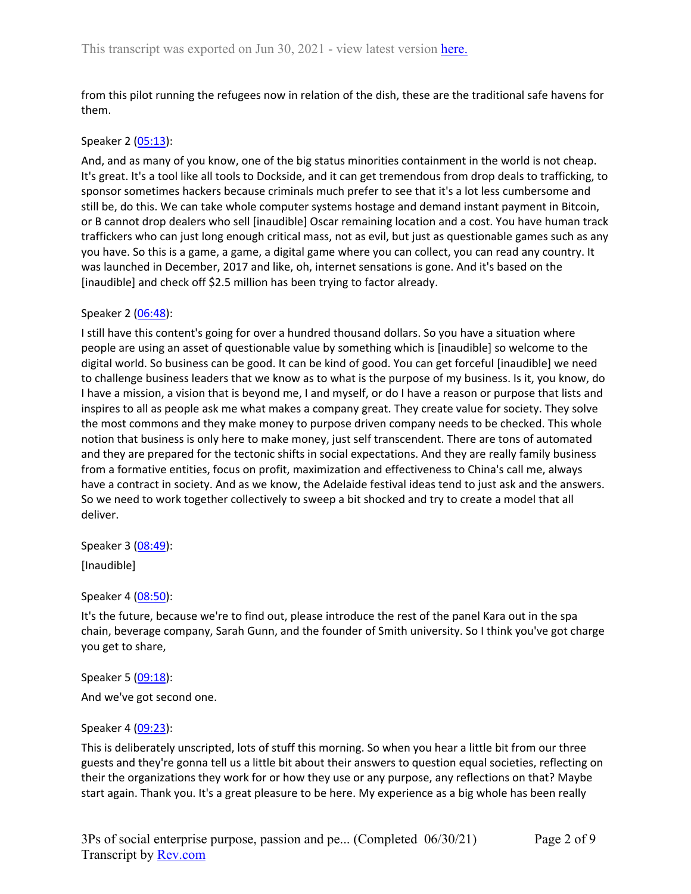from this pilot running the refugees now in relation of the dish, these are the traditional safe havens for them.

### Speaker 2 ([05:13](https://www.rev.com/transcript-editor/Edit?token=Q72r_UmxMU9FCUc0go_lau8ysj9rhxwC6RxExK10MKeMG3MfPT-w7ncmK7LE64aWVfk7ejGer1JvdxvCTfT_ndLjkfs&loadFrom=DocumentDeeplink&ts=313.21)):

And, and as many of you know, one of the big status minorities containment in the world is not cheap. It's great. It's a tool like all tools to Dockside, and it can get tremendous from drop deals to trafficking, to sponsor sometimes hackers because criminals much prefer to see that it's a lot less cumbersome and still be, do this. We can take whole computer systems hostage and demand instant payment in Bitcoin, or B cannot drop dealers who sell [inaudible] Oscar remaining location and a cost. You have human track traffickers who can just long enough critical mass, not as evil, but just as questionable games such as any you have. So this is a game, a game, a digital game where you can collect, you can read any country. It was launched in December, 2017 and like, oh, internet sensations is gone. And it's based on the [inaudible] and check off \$2.5 million has been trying to factor already.

### Speaker 2 ([06:48](https://www.rev.com/transcript-editor/Edit?token=t2j6hzQLmUyg09RBGKzpiyVKM00QpxyjcYS3wLZJ68oeWlICJFyQC6UMOHT_6qXSEd8O7ISqPWmbFXUhtP_jS4NfHAs&loadFrom=DocumentDeeplink&ts=408.98)):

I still have this content's going for over a hundred thousand dollars. So you have a situation where people are using an asset of questionable value by something which is [inaudible] so welcome to the digital world. So business can be good. It can be kind of good. You can get forceful [inaudible] we need to challenge business leaders that we know as to what is the purpose of my business. Is it, you know, do I have a mission, a vision that is beyond me, I and myself, or do I have a reason or purpose that lists and inspires to all as people ask me what makes a company great. They create value for society. They solve the most commons and they make money to purpose driven company needs to be checked. This whole notion that business is only here to make money, just self transcendent. There are tons of automated and they are prepared for the tectonic shifts in social expectations. And they are really family business from a formative entities, focus on profit, maximization and effectiveness to China's call me, always have a contract in society. And as we know, the Adelaide festival ideas tend to just ask and the answers. So we need to work together collectively to sweep a bit shocked and try to create a model that all deliver.

Speaker 3 ([08:49](https://www.rev.com/transcript-editor/Edit?token=soKw3ZGXdpMS95d2VAauukQhJdx8JttOzLuct-yNVquY62de7OPHHbSZXgPzB5fFyU8tmw8eVb7Sc-T2WLe31sWFjgQ&loadFrom=DocumentDeeplink&ts=529.61)):

[Inaudible]

Speaker 4 ([08:50](https://www.rev.com/transcript-editor/Edit?token=TIAwidIuZnasDGsqmF-RAIH3X8qRR1iDtanfz2JqmkswxbJ6i4j9_NcApTIpBkMT3agxPRhwAU2btNF-bfNEwBMeLzo&loadFrom=DocumentDeeplink&ts=530.49)):

It's the future, because we're to find out, please introduce the rest of the panel Kara out in the spa chain, beverage company, Sarah Gunn, and the founder of Smith university. So I think you've got charge you get to share,

Speaker 5 ([09:18](https://www.rev.com/transcript-editor/Edit?token=Va-WSYGwWwB59knOgt_ij6NGJvkPnsVnGSx9CefxKi2BnsywBGP0eqitUCl5HYFh7upltUCc2yWic-6PQ6Zxss2n7qI&loadFrom=DocumentDeeplink&ts=558.24)):

And we've got second one.

### Speaker 4 ([09:23](https://www.rev.com/transcript-editor/Edit?token=j5EYzoRL0nNrFCi-R0_Is885RCZVlw9eljqebfrsh3OxYtv4pUOAmIsVEdHlSQA--NSHmCLJ7PrILGv4SVYKh2TDOPk&loadFrom=DocumentDeeplink&ts=563.7)):

This is deliberately unscripted, lots of stuff this morning. So when you hear a little bit from our three guests and they're gonna tell us a little bit about their answers to question equal societies, reflecting on their the organizations they work for or how they use or any purpose, any reflections on that? Maybe start again. Thank you. It's a great pleasure to be here. My experience as a big whole has been really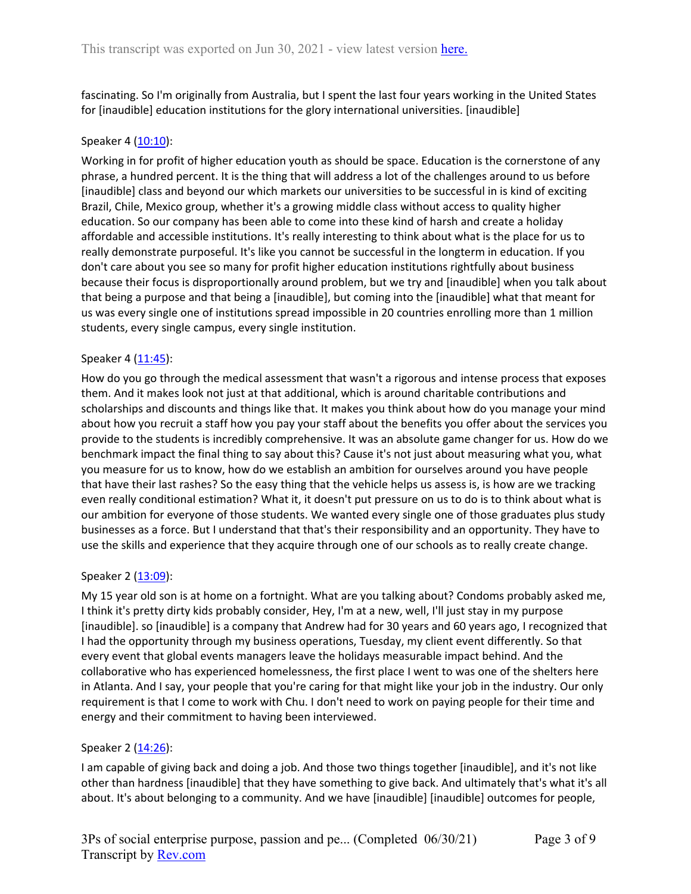fascinating. So I'm originally from Australia, but I spent the last four years working in the United States for [inaudible] education institutions for the glory international universities. [inaudible]

### Speaker 4 ([10:10](https://www.rev.com/transcript-editor/Edit?token=A-CR56kPQ7ZPUjcfHHhDY96YknS0HBH3OtI4CXUlvI1NUHxVd-26nV5u4JEqw7leraTCKNMEOylidRzvkoOS07yC_8U&loadFrom=DocumentDeeplink&ts=610.97)):

Working in for profit of higher education youth as should be space. Education is the cornerstone of any phrase, a hundred percent. It is the thing that will address a lot of the challenges around to us before [inaudible] class and beyond our which markets our universities to be successful in is kind of exciting Brazil, Chile, Mexico group, whether it's a growing middle class without access to quality higher education. So our company has been able to come into these kind of harsh and create a holiday affordable and accessible institutions. It's really interesting to think about what is the place for us to really demonstrate purposeful. It's like you cannot be successful in the longterm in education. If you don't care about you see so many for profit higher education institutions rightfully about business because their focus is disproportionally around problem, but we try and [inaudible] when you talk about that being a purpose and that being a [inaudible], but coming into the [inaudible] what that meant for us was every single one of institutions spread impossible in 20 countries enrolling more than 1 million students, every single campus, every single institution.

### Speaker 4 ([11:45](https://www.rev.com/transcript-editor/Edit?token=ODx6nrcxQMFh8aZDCZcjOJDWG4-EU0D9YaSxR0kda9-kMk-uA0eCNmohDfoFYUveHuRgr9IjV4p73eUgM6ciPbORKQk&loadFrom=DocumentDeeplink&ts=705.44)):

How do you go through the medical assessment that wasn't a rigorous and intense process that exposes them. And it makes look not just at that additional, which is around charitable contributions and scholarships and discounts and things like that. It makes you think about how do you manage your mind about how you recruit a staff how you pay your staff about the benefits you offer about the services you provide to the students is incredibly comprehensive. It was an absolute game changer for us. How do we benchmark impact the final thing to say about this? Cause it's not just about measuring what you, what you measure for us to know, how do we establish an ambition for ourselves around you have people that have their last rashes? So the easy thing that the vehicle helps us assess is, is how are we tracking even really conditional estimation? What it, it doesn't put pressure on us to do is to think about what is our ambition for everyone of those students. We wanted every single one of those graduates plus study businesses as a force. But I understand that that's their responsibility and an opportunity. They have to use the skills and experience that they acquire through one of our schools as to really create change.

### Speaker 2 ([13:09](https://www.rev.com/transcript-editor/Edit?token=vzb0mzZXJnFMb4cpKGK8yayghjOVS0PscWP8coI4Jc757SbsHMwmVmeO38E5qJq5I9Pefh1sdI46Aehfvv5LLoJfevs&loadFrom=DocumentDeeplink&ts=789.24)):

My 15 year old son is at home on a fortnight. What are you talking about? Condoms probably asked me, I think it's pretty dirty kids probably consider, Hey, I'm at a new, well, I'll just stay in my purpose [inaudible]. so [inaudible] is a company that Andrew had for 30 years and 60 years ago, I recognized that I had the opportunity through my business operations, Tuesday, my client event differently. So that every event that global events managers leave the holidays measurable impact behind. And the collaborative who has experienced homelessness, the first place I went to was one of the shelters here in Atlanta. And I say, your people that you're caring for that might like your job in the industry. Our only requirement is that I come to work with Chu. I don't need to work on paying people for their time and energy and their commitment to having been interviewed.

## Speaker 2 ([14:26](https://www.rev.com/transcript-editor/Edit?token=LTrdVCJw5uWYPz_c3QS79dQc-orYoKm358HjM0m2LYkC4TEpEO8bSyx96xpv39LLcxjm9jon6x7EZVm6mEz9bky_Jpw&loadFrom=DocumentDeeplink&ts=866.07)):

I am capable of giving back and doing a job. And those two things together [inaudible], and it's not like other than hardness [inaudible] that they have something to give back. And ultimately that's what it's all about. It's about belonging to a community. And we have [inaudible] [inaudible] outcomes for people,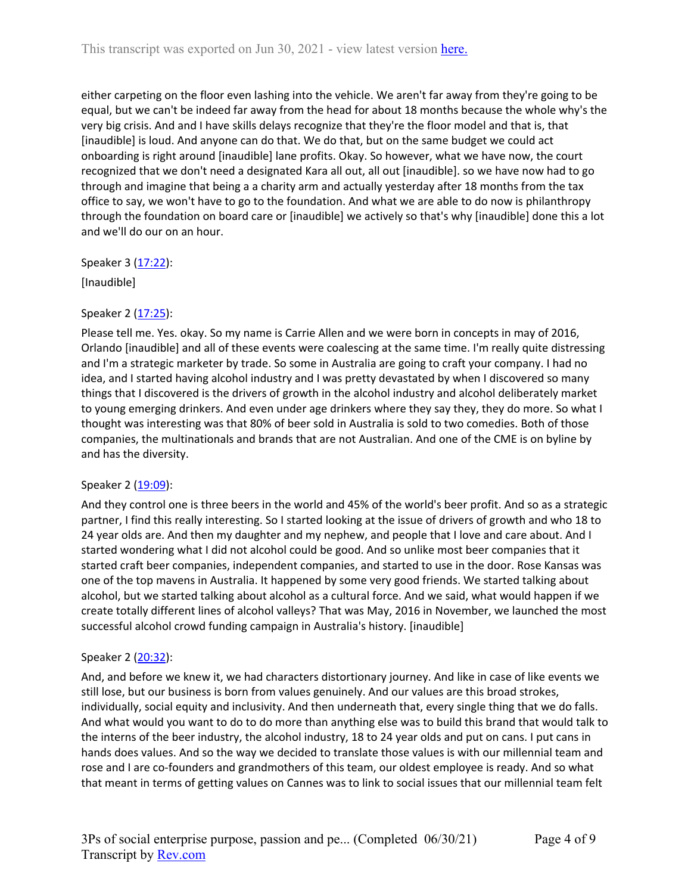either carpeting on the floor even lashing into the vehicle. We aren't far away from they're going to be equal, but we can't be indeed far away from the head for about 18 months because the whole why's the very big crisis. And and I have skills delays recognize that they're the floor model and that is, that [inaudible] is loud. And anyone can do that. We do that, but on the same budget we could act onboarding is right around [inaudible] lane profits. Okay. So however, what we have now, the court recognized that we don't need a designated Kara all out, all out [inaudible]. so we have now had to go through and imagine that being a a charity arm and actually yesterday after 18 months from the tax office to say, we won't have to go to the foundation. And what we are able to do now is philanthropy through the foundation on board care or [inaudible] we actively so that's why [inaudible] done this a lot and we'll do our on an hour.

Speaker 3 ([17:22](https://www.rev.com/transcript-editor/Edit?token=o_uFSTsqEkUdSZ30yi8X-LyDSVSsDMZ_Dd96dw-1dXvvcU8mJUTJVI9-t7kTStYxY50DinCKcWkokUzs7B8Txx26ysw&loadFrom=DocumentDeeplink&ts=1042.51)):

[Inaudible]

# Speaker 2 ([17:25](https://www.rev.com/transcript-editor/Edit?token=UPggI83OKR_rHroh_xNM9At9Nh-XyB_Bk-I4NkOVon-CgTwgahBLBRG7cRZwdcVxxruKJT3v2nu9ivp5DtMrEFhL-TA&loadFrom=DocumentDeeplink&ts=1045.78)):

Please tell me. Yes. okay. So my name is Carrie Allen and we were born in concepts in may of 2016, Orlando [inaudible] and all of these events were coalescing at the same time. I'm really quite distressing and I'm a strategic marketer by trade. So some in Australia are going to craft your company. I had no idea, and I started having alcohol industry and I was pretty devastated by when I discovered so many things that I discovered is the drivers of growth in the alcohol industry and alcohol deliberately market to young emerging drinkers. And even under age drinkers where they say they, they do more. So what I thought was interesting was that 80% of beer sold in Australia is sold to two comedies. Both of those companies, the multinationals and brands that are not Australian. And one of the CME is on byline by and has the diversity.

## Speaker 2 ([19:09](https://www.rev.com/transcript-editor/Edit?token=csWmQLq8zeCv394n-gFr7SqCW1wKqevA-8GeC6qHZUZgFPjkxK4nsdYDYMDG5doG4rxfI_7vOwytSnZRQ3Y6ZelX0WM&loadFrom=DocumentDeeplink&ts=1149.06)):

And they control one is three beers in the world and 45% of the world's beer profit. And so as a strategic partner, I find this really interesting. So I started looking at the issue of drivers of growth and who 18 to 24 year olds are. And then my daughter and my nephew, and people that I love and care about. And I started wondering what I did not alcohol could be good. And so unlike most beer companies that it started craft beer companies, independent companies, and started to use in the door. Rose Kansas was one of the top mavens in Australia. It happened by some very good friends. We started talking about alcohol, but we started talking about alcohol as a cultural force. And we said, what would happen if we create totally different lines of alcohol valleys? That was May, 2016 in November, we launched the most successful alcohol crowd funding campaign in Australia's history. [inaudible]

## Speaker 2 ([20:32](https://www.rev.com/transcript-editor/Edit?token=OSyVEYIzZ8RY5LXHAQvRb00uhTbK_NVabrF2u0eUEaMzAzEbPm0BuSy9pi7dmKAbhSbi1x9QY8Imk_3P1qjwIEJeR9A&loadFrom=DocumentDeeplink&ts=1232.58)):

And, and before we knew it, we had characters distortionary journey. And like in case of like events we still lose, but our business is born from values genuinely. And our values are this broad strokes, individually, social equity and inclusivity. And then underneath that, every single thing that we do falls. And what would you want to do to do more than anything else was to build this brand that would talk to the interns of the beer industry, the alcohol industry, 18 to 24 year olds and put on cans. I put cans in hands does values. And so the way we decided to translate those values is with our millennial team and rose and I are co-founders and grandmothers of this team, our oldest employee is ready. And so what that meant in terms of getting values on Cannes was to link to social issues that our millennial team felt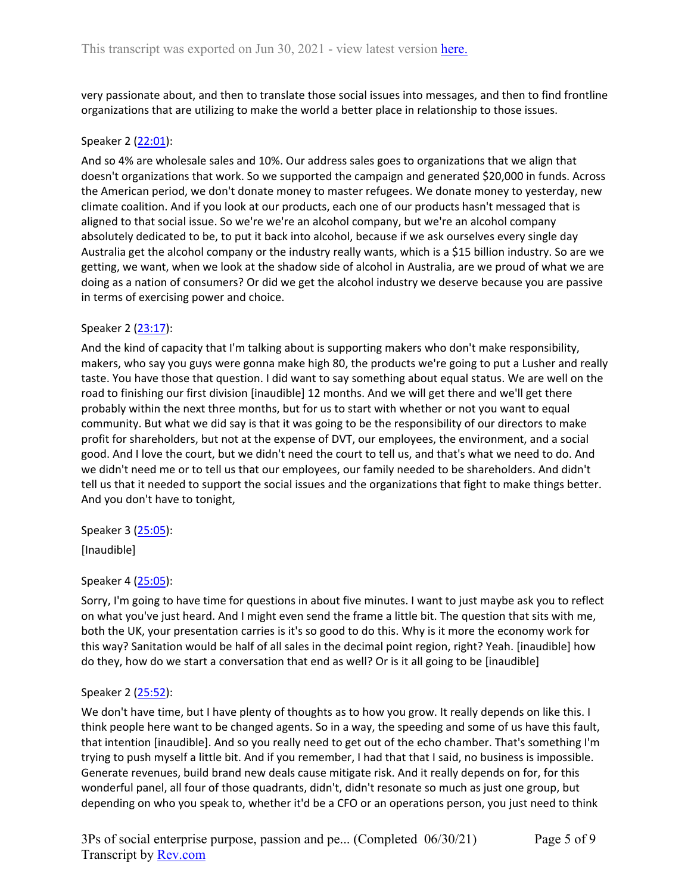very passionate about, and then to translate those social issues into messages, and then to find frontline organizations that are utilizing to make the world a better place in relationship to those issues.

## Speaker 2 ([22:01](https://www.rev.com/transcript-editor/Edit?token=ODDv1SvYYOXADRK70C2dpkd5PhKiFK8J9RIMzNPe72KXSxveTvn3AWGvw9nfOMFiQ2xaW6ELVrJTtpvKfM1_OmhU41s&loadFrom=DocumentDeeplink&ts=1321.54)):

And so 4% are wholesale sales and 10%. Our address sales goes to organizations that we align that doesn't organizations that work. So we supported the campaign and generated \$20,000 in funds. Across the American period, we don't donate money to master refugees. We donate money to yesterday, new climate coalition. And if you look at our products, each one of our products hasn't messaged that is aligned to that social issue. So we're we're an alcohol company, but we're an alcohol company absolutely dedicated to be, to put it back into alcohol, because if we ask ourselves every single day Australia get the alcohol company or the industry really wants, which is a \$15 billion industry. So are we getting, we want, when we look at the shadow side of alcohol in Australia, are we proud of what we are doing as a nation of consumers? Or did we get the alcohol industry we deserve because you are passive in terms of exercising power and choice.

# Speaker 2 ([23:17](https://www.rev.com/transcript-editor/Edit?token=LroS9in0l8LIODy6ip8BO35ZRfcmI2zlzFkZr8LwjNzOCynQNhzEWMKIM4hlXqR2yySaWGjEThAiqUap4ItzSmqadHk&loadFrom=DocumentDeeplink&ts=1397.53)):

And the kind of capacity that I'm talking about is supporting makers who don't make responsibility, makers, who say you guys were gonna make high 80, the products we're going to put a Lusher and really taste. You have those that question. I did want to say something about equal status. We are well on the road to finishing our first division [inaudible] 12 months. And we will get there and we'll get there probably within the next three months, but for us to start with whether or not you want to equal community. But what we did say is that it was going to be the responsibility of our directors to make profit for shareholders, but not at the expense of DVT, our employees, the environment, and a social good. And I love the court, but we didn't need the court to tell us, and that's what we need to do. And we didn't need me or to tell us that our employees, our family needed to be shareholders. And didn't tell us that it needed to support the social issues and the organizations that fight to make things better. And you don't have to tonight,

Speaker 3 ([25:05](https://www.rev.com/transcript-editor/Edit?token=2dNDpzV8Ciwhfdsw0dTEHQC6x8fLaduVgn_jyGnGNNra4DnxspPw2Azl_M0m5Fuh2s-J1_sablzj4dFsbOmPIWBYB1I&loadFrom=DocumentDeeplink&ts=1505.35)):

[Inaudible]

## Speaker 4 ([25:05](https://www.rev.com/transcript-editor/Edit?token=nQeNoynhAx1ThDlQKBXI7Y4QJWt5NHeytG3ytUk-a0_rvFRw6kpJ4oH6lPUjldlLQs-croC1ZT3XRrQ1e7Wwl_FbQUQ&loadFrom=DocumentDeeplink&ts=1505.58)):

Sorry, I'm going to have time for questions in about five minutes. I want to just maybe ask you to reflect on what you've just heard. And I might even send the frame a little bit. The question that sits with me, both the UK, your presentation carries is it's so good to do this. Why is it more the economy work for this way? Sanitation would be half of all sales in the decimal point region, right? Yeah. [inaudible] how do they, how do we start a conversation that end as well? Or is it all going to be [inaudible]

## Speaker 2 ([25:52](https://www.rev.com/transcript-editor/Edit?token=SgeQXLSLMUvSq_20ZWgDDQ0kET8kkuHxmjaIOi6oAKx9JdUAqNd44zvjg-HfoQnDxLsyPvaK00EJbYKs0kwoAS1PR5w&loadFrom=DocumentDeeplink&ts=1552.17)):

We don't have time, but I have plenty of thoughts as to how you grow. It really depends on like this. I think people here want to be changed agents. So in a way, the speeding and some of us have this fault, that intention [inaudible]. And so you really need to get out of the echo chamber. That's something I'm trying to push myself a little bit. And if you remember, I had that that I said, no business is impossible. Generate revenues, build brand new deals cause mitigate risk. And it really depends on for, for this wonderful panel, all four of those quadrants, didn't, didn't resonate so much as just one group, but depending on who you speak to, whether it'd be a CFO or an operations person, you just need to think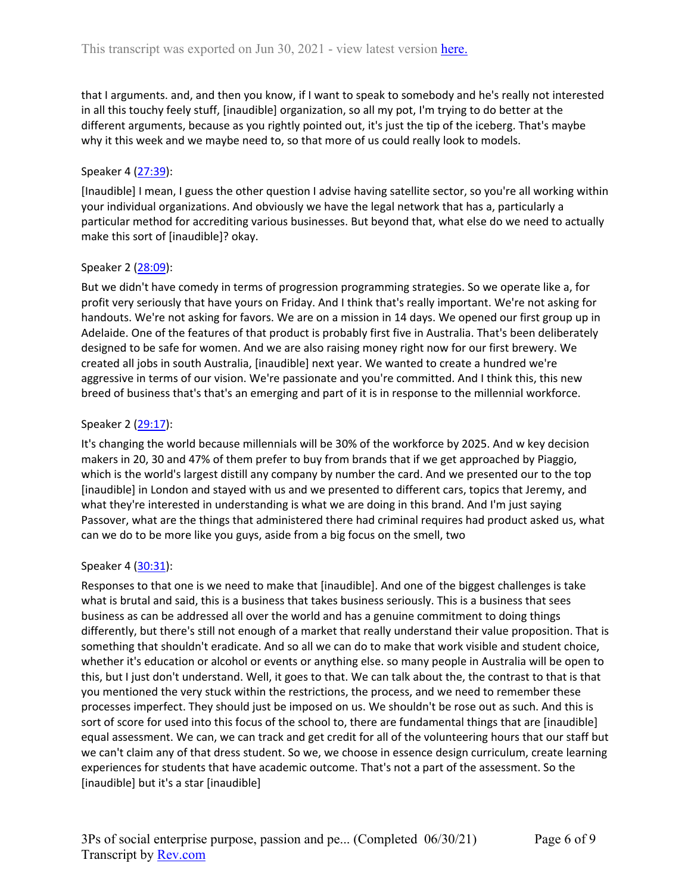that I arguments. and, and then you know, if I want to speak to somebody and he's really not interested in all this touchy feely stuff, [inaudible] organization, so all my pot, I'm trying to do better at the different arguments, because as you rightly pointed out, it's just the tip of the iceberg. That's maybe why it this week and we maybe need to, so that more of us could really look to models.

# Speaker 4 ([27:39](https://www.rev.com/transcript-editor/Edit?token=vMhtauxBTj_H8sr_Z0ML-y7bNtXADNRNboEG0jsSt5f_xH-nVXn1PLpnXjm3FhmXXGq_gBM7JEeJjHy3r5T4fC6_-VU&loadFrom=DocumentDeeplink&ts=1659.72)):

[Inaudible] I mean, I guess the other question I advise having satellite sector, so you're all working within your individual organizations. And obviously we have the legal network that has a, particularly a particular method for accrediting various businesses. But beyond that, what else do we need to actually make this sort of [inaudible]? okay.

## Speaker 2 ([28:09](https://www.rev.com/transcript-editor/Edit?token=QpL8-pkEFJhdWlMz6nqQXFbQ3W8c03rP9AtN0MpPwygjseHAfRixhPSycQMkR3zqmRNPV3sYdScRHvzuD4DlvcEusnk&loadFrom=DocumentDeeplink&ts=1689.26)):

But we didn't have comedy in terms of progression programming strategies. So we operate like a, for profit very seriously that have yours on Friday. And I think that's really important. We're not asking for handouts. We're not asking for favors. We are on a mission in 14 days. We opened our first group up in Adelaide. One of the features of that product is probably first five in Australia. That's been deliberately designed to be safe for women. And we are also raising money right now for our first brewery. We created all jobs in south Australia, [inaudible] next year. We wanted to create a hundred we're aggressive in terms of our vision. We're passionate and you're committed. And I think this, this new breed of business that's that's an emerging and part of it is in response to the millennial workforce.

## Speaker 2 ([29:17](https://www.rev.com/transcript-editor/Edit?token=A8K4L3yMoH3hk0LbeQU6gZxyqpahgTXHvoolQncSPxw5H6KX1Tt87NNOzv_IAFMNa_D_93h4cWUxoS9299oEZ-ib8qQ&loadFrom=DocumentDeeplink&ts=1757.45)):

It's changing the world because millennials will be 30% of the workforce by 2025. And w key decision makers in 20, 30 and 47% of them prefer to buy from brands that if we get approached by Piaggio, which is the world's largest distill any company by number the card. And we presented our to the top [inaudible] in London and stayed with us and we presented to different cars, topics that Jeremy, and what they're interested in understanding is what we are doing in this brand. And I'm just saying Passover, what are the things that administered there had criminal requires had product asked us, what can we do to be more like you guys, aside from a big focus on the smell, two

## Speaker 4 ([30:31](https://www.rev.com/transcript-editor/Edit?token=At3no5VgzbZQWnHY22DHg77mvYFhvfFDpUCH0107eOTUSutjs3CZs71jWskcA0afURazdj29V5J8v_7AOz3o3goxKps&loadFrom=DocumentDeeplink&ts=1831.81)):

Responses to that one is we need to make that [inaudible]. And one of the biggest challenges is take what is brutal and said, this is a business that takes business seriously. This is a business that sees business as can be addressed all over the world and has a genuine commitment to doing things differently, but there's still not enough of a market that really understand their value proposition. That is something that shouldn't eradicate. And so all we can do to make that work visible and student choice, whether it's education or alcohol or events or anything else. so many people in Australia will be open to this, but I just don't understand. Well, it goes to that. We can talk about the, the contrast to that is that you mentioned the very stuck within the restrictions, the process, and we need to remember these processes imperfect. They should just be imposed on us. We shouldn't be rose out as such. And this is sort of score for used into this focus of the school to, there are fundamental things that are [inaudible] equal assessment. We can, we can track and get credit for all of the volunteering hours that our staff but we can't claim any of that dress student. So we, we choose in essence design curriculum, create learning experiences for students that have academic outcome. That's not a part of the assessment. So the [inaudible] but it's a star [inaudible]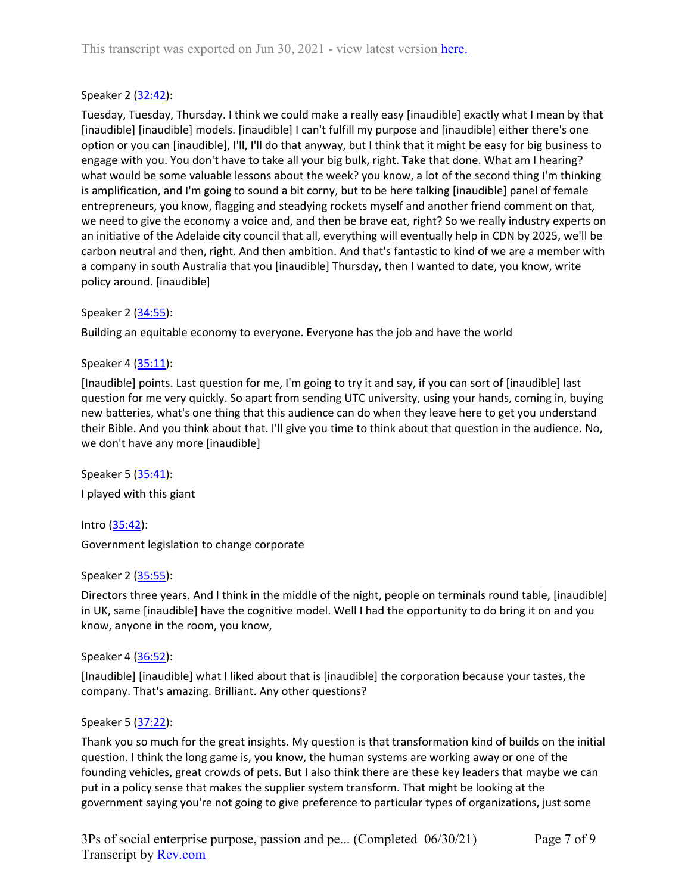# Speaker 2 ([32:42](https://www.rev.com/transcript-editor/Edit?token=O4vjyl0VtzkPk-uVfiud2ZsMf0kJVePIrPG1xB9M6whKdgILqIHCbFpgST9wnBwQNfv8ZcnjsiSMUL7Q8N0_6rjs81g&loadFrom=DocumentDeeplink&ts=1962.52)):

Tuesday, Tuesday, Thursday. I think we could make a really easy [inaudible] exactly what I mean by that [inaudible] [inaudible] models. [inaudible] I can't fulfill my purpose and [inaudible] either there's one option or you can [inaudible], I'll, I'll do that anyway, but I think that it might be easy for big business to engage with you. You don't have to take all your big bulk, right. Take that done. What am I hearing? what would be some valuable lessons about the week? you know, a lot of the second thing I'm thinking is amplification, and I'm going to sound a bit corny, but to be here talking [inaudible] panel of female entrepreneurs, you know, flagging and steadying rockets myself and another friend comment on that, we need to give the economy a voice and, and then be brave eat, right? So we really industry experts on an initiative of the Adelaide city council that all, everything will eventually help in CDN by 2025, we'll be carbon neutral and then, right. And then ambition. And that's fantastic to kind of we are a member with a company in south Australia that you [inaudible] Thursday, then I wanted to date, you know, write policy around. [inaudible]

# Speaker 2 ([34:55](https://www.rev.com/transcript-editor/Edit?token=g7wKUxaf1f9DXmD2BmbjUXU5UtKNwjZISltF-WWj28eeTZJ7obyxCdLq66v41x1l0iD2OgcEiQxt8z4OG40IBrEj1aU&loadFrom=DocumentDeeplink&ts=2095.75)):

Building an equitable economy to everyone. Everyone has the job and have the world

# Speaker 4 ([35:11](https://www.rev.com/transcript-editor/Edit?token=U547pBsf6RXsB_qN5EpqRn4idgrg7DJIgVLDscO0DJvnuuuvCDWXEKIhJVSLFQ5m0miGV43X1Ece5StSP5n10jF_veQ&loadFrom=DocumentDeeplink&ts=2111.75)):

[Inaudible] points. Last question for me, I'm going to try it and say, if you can sort of [inaudible] last question for me very quickly. So apart from sending UTC university, using your hands, coming in, buying new batteries, what's one thing that this audience can do when they leave here to get you understand their Bible. And you think about that. I'll give you time to think about that question in the audience. No, we don't have any more [inaudible]

Speaker 5 ([35:41](https://www.rev.com/transcript-editor/Edit?token=iqQL9cOr1h3LHw0AjkKTGr0DHXOF2XWIJV29g1EuoLPMfva4TB6rKSp_3hVrx3sR5gLtZgisD9h0QK3fVuAfBPy_E1A&loadFrom=DocumentDeeplink&ts=2141.78)): I played with this giant

Intro ([35:42\)](https://www.rev.com/transcript-editor/Edit?token=83iD13fEToUaCi5u_RmhExoSFK5yJV5pPBGzA1M7nJeuKqv_Z-kTHH7YbuBd0uaWDqIHrflaltgUlreuygYy-cbWkpc&loadFrom=DocumentDeeplink&ts=2142.74): Government legislation to change corporate

## Speaker 2 ([35:55](https://www.rev.com/transcript-editor/Edit?token=zA6vMjfNZVD26h1KOIMyNEcL4nOD8YpdUEcrRoSuC5DUHB3EA9lfaxfA7xCqjKy1wEyz0MUMZbkDa6B11Ko9iFh4PSw&loadFrom=DocumentDeeplink&ts=2155.34)):

Directors three years. And I think in the middle of the night, people on terminals round table, [inaudible] in UK, same [inaudible] have the cognitive model. Well I had the opportunity to do bring it on and you know, anyone in the room, you know,

Speaker 4 ([36:52](https://www.rev.com/transcript-editor/Edit?token=nvAzrqMtfldphWu8HnAOGutBjSimg61tZ4Q2Z5p9-fdaUik1glVhJOw273EE4gC-4FdaRQn-aFjV001RXOwOQrsvJb4&loadFrom=DocumentDeeplink&ts=2212.23)):

[Inaudible] [inaudible] what I liked about that is [inaudible] the corporation because your tastes, the company. That's amazing. Brilliant. Any other questions?

## Speaker 5 ([37:22](https://www.rev.com/transcript-editor/Edit?token=rsqOmR0_S45tGedNBqZVYYWFdDO6RJjgBdB3ls9zryBiKE5kQrbmkwRq9ysV9p5aYZl2HpQom-MGfwQUPb2Hfx-2pgw&loadFrom=DocumentDeeplink&ts=2242.02)):

Thank you so much for the great insights. My question is that transformation kind of builds on the initial question. I think the long game is, you know, the human systems are working away or one of the founding vehicles, great crowds of pets. But I also think there are these key leaders that maybe we can put in a policy sense that makes the supplier system transform. That might be looking at the government saying you're not going to give preference to particular types of organizations, just some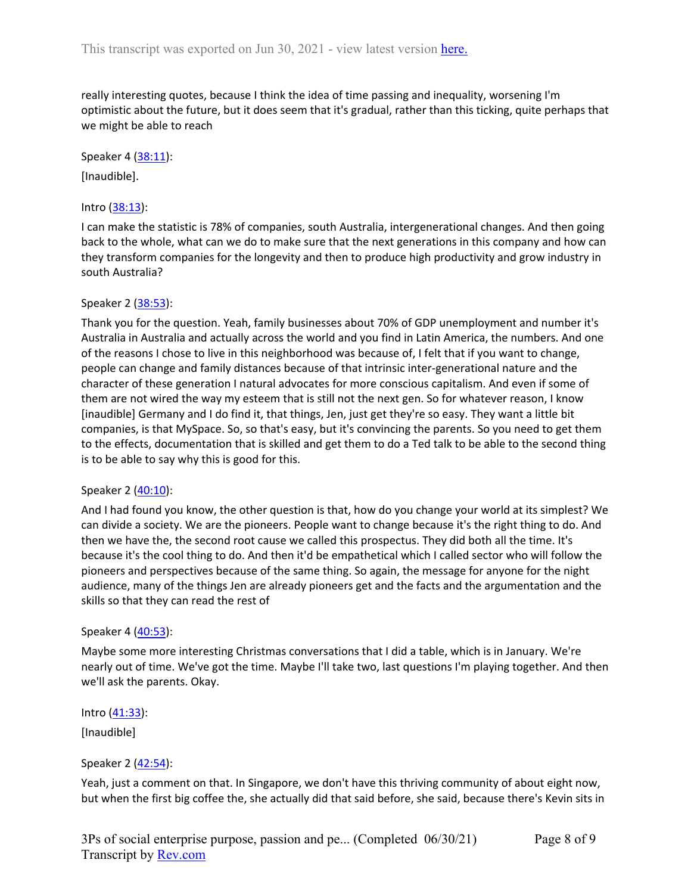really interesting quotes, because I think the idea of time passing and inequality, worsening I'm optimistic about the future, but it does seem that it's gradual, rather than this ticking, quite perhaps that we might be able to reach

#### Speaker 4 ([38:11](https://www.rev.com/transcript-editor/Edit?token=osf2xed7GUpHXXNBsi3-2LbKVG_mdYptd1323LMDFkQfpoKiSptzZO60C9bDx_XxAYI_sutHS_Y2a90vo0rYQ-99wVc&loadFrom=DocumentDeeplink&ts=2291.76)):

[Inaudible].

### Intro ([38:13\)](https://www.rev.com/transcript-editor/Edit?token=iU2eu0tHJwweiGY0-Dx04RedjSc8fumNxBukbQU_XNYl9oRBeWBEe42M3iVcSX1sx5z7COk_PqzC7MBXhUzxeW4HPBk&loadFrom=DocumentDeeplink&ts=2293.38):

I can make the statistic is 78% of companies, south Australia, intergenerational changes. And then going back to the whole, what can we do to make sure that the next generations in this company and how can they transform companies for the longevity and then to produce high productivity and grow industry in south Australia?

### Speaker 2 ([38:53](https://www.rev.com/transcript-editor/Edit?token=kkNTJI2qw_itFBaBYso2nHM8UBncZL7Olf8BSmbmn5R7Sq7iVMfGRw6qA-Q2lXG9XaHqmhJABi7GTtTtycUpjeljLmI&loadFrom=DocumentDeeplink&ts=2333.61)):

Thank you for the question. Yeah, family businesses about 70% of GDP unemployment and number it's Australia in Australia and actually across the world and you find in Latin America, the numbers. And one of the reasons I chose to live in this neighborhood was because of, I felt that if you want to change, people can change and family distances because of that intrinsic inter-generational nature and the character of these generation I natural advocates for more conscious capitalism. And even if some of them are not wired the way my esteem that is still not the next gen. So for whatever reason, I know [inaudible] Germany and I do find it, that things, Jen, just get they're so easy. They want a little bit companies, is that MySpace. So, so that's easy, but it's convincing the parents. So you need to get them to the effects, documentation that is skilled and get them to do a Ted talk to be able to the second thing is to be able to say why this is good for this.

### Speaker 2 ([40:10](https://www.rev.com/transcript-editor/Edit?token=0OJzXEJOOwTmwUcmXLsd0aJwoWSoFxol_haYAPh4dd-pv912XctGtXZQubYav6Vdwmn8VJDBvVJIgaZDfAWpDbogEJU&loadFrom=DocumentDeeplink&ts=2410.7)):

And I had found you know, the other question is that, how do you change your world at its simplest? We can divide a society. We are the pioneers. People want to change because it's the right thing to do. And then we have the, the second root cause we called this prospectus. They did both all the time. It's because it's the cool thing to do. And then it'd be empathetical which I called sector who will follow the pioneers and perspectives because of the same thing. So again, the message for anyone for the night audience, many of the things Jen are already pioneers get and the facts and the argumentation and the skills so that they can read the rest of

### Speaker 4 ([40:53](https://www.rev.com/transcript-editor/Edit?token=IDkyPZK-LGnaf4I65rUGTwuXI0QhttScvnRJ8GjdRheIIgAw6JjUMcHLjhUtinPAMCKiga7juZvDazCxraigXSX9_ac&loadFrom=DocumentDeeplink&ts=2453.46)):

Maybe some more interesting Christmas conversations that I did a table, which is in January. We're nearly out of time. We've got the time. Maybe I'll take two, last questions I'm playing together. And then we'll ask the parents. Okay.

Intro  $(41:33)$  $(41:33)$ :

[Inaudible]

## Speaker 2 ([42:54](https://www.rev.com/transcript-editor/Edit?token=2Fmo22oVE1y6RTKIJwD5EoitR9hMaCAmZgPUr0KOAffN7Ddp4RYZ5dmIPU-micRMs6Bht9QpDE2QMn9S559w-MB-KlE&loadFrom=DocumentDeeplink&ts=2574.16)):

Yeah, just a comment on that. In Singapore, we don't have this thriving community of about eight now, but when the first big coffee the, she actually did that said before, she said, because there's Kevin sits in